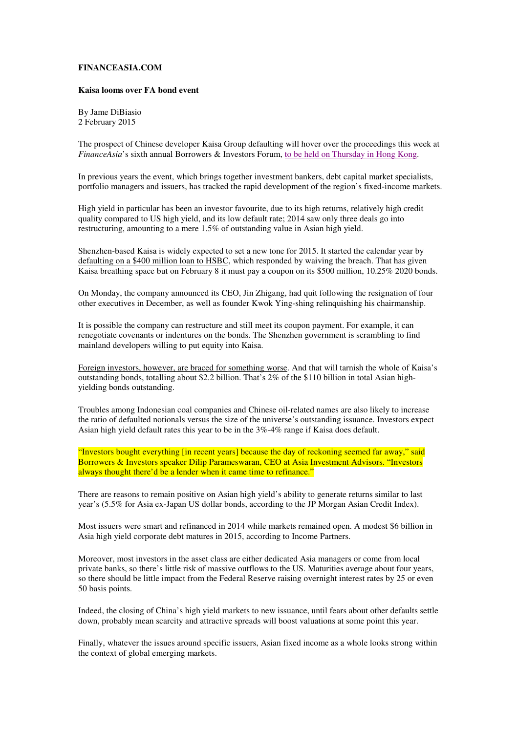## **FINANCEASIA.COM**

## **Kaisa looms over FA bond event**

By Jame DiBiasio 2 February 2015

The prospect of Chinese developer Kaisa Group defaulting will hover over the proceedings this week at *FinanceAsia*'s sixth annual Borrowers & Investors Forum, to be held on Thursday in Hong Kong.

In previous years the event, which brings together investment bankers, debt capital market specialists, portfolio managers and issuers, has tracked the rapid development of the region's fixed-income markets.

High yield in particular has been an investor favourite, due to its high returns, relatively high credit quality compared to US high yield, and its low default rate; 2014 saw only three deals go into restructuring, amounting to a mere 1.5% of outstanding value in Asian high yield.

Shenzhen-based Kaisa is widely expected to set a new tone for 2015. It started the calendar year by defaulting on a \$400 million loan to HSBC, which responded by waiving the breach. That has given Kaisa breathing space but on February 8 it must pay a coupon on its \$500 million, 10.25% 2020 bonds.

On Monday, the company announced its CEO, Jin Zhigang, had quit following the resignation of four other executives in December, as well as founder Kwok Ying-shing relinquishing his chairmanship.

It is possible the company can restructure and still meet its coupon payment. For example, it can renegotiate covenants or indentures on the bonds. The Shenzhen government is scrambling to find mainland developers willing to put equity into Kaisa.

Foreign investors, however, are braced for something worse. And that will tarnish the whole of Kaisa's outstanding bonds, totalling about \$2.2 billion. That's 2% of the \$110 billion in total Asian highyielding bonds outstanding.

Troubles among Indonesian coal companies and Chinese oil-related names are also likely to increase the ratio of defaulted notionals versus the size of the universe's outstanding issuance. Investors expect Asian high yield default rates this year to be in the 3%-4% range if Kaisa does default.

"Investors bought everything [in recent years] because the day of reckoning seemed far away," said Borrowers & Investors speaker Dilip Parameswaran, CEO at Asia Investment Advisors. "Investors always thought there'd be a lender when it came time to refinance."

There are reasons to remain positive on Asian high yield's ability to generate returns similar to last year's (5.5% for Asia ex-Japan US dollar bonds, according to the JP Morgan Asian Credit Index).

Most issuers were smart and refinanced in 2014 while markets remained open. A modest \$6 billion in Asia high yield corporate debt matures in 2015, according to Income Partners.

Moreover, most investors in the asset class are either dedicated Asia managers or come from local private banks, so there's little risk of massive outflows to the US. Maturities average about four years, so there should be little impact from the Federal Reserve raising overnight interest rates by 25 or even 50 basis points.

Indeed, the closing of China's high yield markets to new issuance, until fears about other defaults settle down, probably mean scarcity and attractive spreads will boost valuations at some point this year.

Finally, whatever the issues around specific issuers, Asian fixed income as a whole looks strong within the context of global emerging markets.